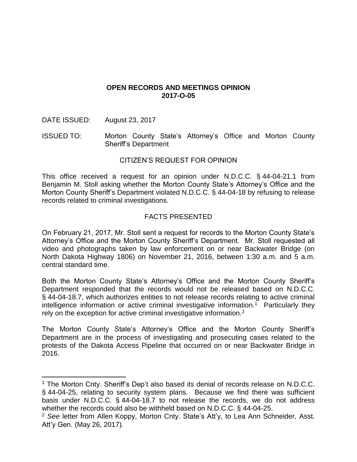### **OPEN RECORDS AND MEETINGS OPINION 2017-O-05**

DATE ISSUED: August 23, 2017

 $\overline{a}$ 

ISSUED TO: Morton County State's Attorney's Office and Morton County Sheriff's Department

# CITIZEN'S REQUEST FOR OPINION

This office received a request for an opinion under N.D.C.C. § 44-04-21.1 from Benjamin M. Stoll asking whether the Morton County State's Attorney's Office and the Morton County Sheriff's Department violated N.D.C.C. § 44-04-18 by refusing to release records related to criminal investigations.

# FACTS PRESENTED

On February 21, 2017, Mr. Stoll sent a request for records to the Morton County State's Attorney's Office and the Morton County Sheriff's Department. Mr. Stoll requested all video and photographs taken by law enforcement on or near Backwater Bridge (on North Dakota Highway 1806) on November 21, 2016, between 1:30 a.m. and 5 a.m. central standard time.

Both the Morton County State's Attorney's Office and the Morton County Sheriff's Department responded that the records would not be released based on N.D.C.C. § 44-04-18.7, which authorizes entities to not release records relating to active criminal intelligence information or active criminal investigative information.<sup>1</sup> Particularly they rely on the exception for active criminal investigative information.<sup>2</sup>

The Morton County State's Attorney's Office and the Morton County Sheriff's Department are in the process of investigating and prosecuting cases related to the protests of the Dakota Access Pipeline that occurred on or near Backwater Bridge in 2016.

<sup>&</sup>lt;sup>1</sup> The Morton Cnty. Sheriff's Dep't also based its denial of records release on N.D.C.C. § 44-04-25, relating to security system plans. Because we find there was sufficient basis under N.D.C.C. § 44-04-18.7 to not release the records, we do not address whether the records could also be withheld based on N.D.C.C. § 44-04-25.

<sup>2</sup> *See* letter from Allen Koppy, Morton Cnty. State's Att'y, to Lea Ann Schneider, Asst. Att'y Gen. (May 26, 2017).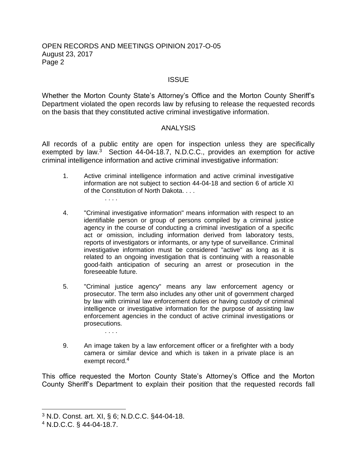### OPEN RECORDS AND MEETINGS OPINION 2017-O-05 August 23, 2017 Page 2

### **ISSUE**

Whether the Morton County State's Attorney's Office and the Morton County Sheriff's Department violated the open records law by refusing to release the requested records on the basis that they constituted active criminal investigative information.

#### ANALYSIS

All records of a public entity are open for inspection unless they are specifically exempted by law. $3$  Section 44-04-18.7, N.D.C.C., provides an exemption for active criminal intelligence information and active criminal investigative information:

- 1. Active criminal intelligence information and active criminal investigative information are not subject to section 44-04-18 and section 6 of article XI of the Constitution of North Dakota. . . .
- 4. "Criminal investigative information" means information with respect to an identifiable person or group of persons compiled by a criminal justice agency in the course of conducting a criminal investigation of a specific act or omission, including information derived from laboratory tests, reports of investigators or informants, or any type of surveillance. Criminal investigative information must be considered "active" as long as it is related to an ongoing investigation that is continuing with a reasonable good-faith anticipation of securing an arrest or prosecution in the foreseeable future.
- 5. "Criminal justice agency" means any law enforcement agency or prosecutor. The term also includes any other unit of government charged by law with criminal law enforcement duties or having custody of criminal intelligence or investigative information for the purpose of assisting law enforcement agencies in the conduct of active criminal investigations or prosecutions.
- 9. An image taken by a law enforcement officer or a firefighter with a body camera or similar device and which is taken in a private place is an exempt record.<sup>4</sup>

This office requested the Morton County State's Attorney's Office and the Morton County Sheriff's Department to explain their position that the requested records fall

. . . .

. . . .

 $\overline{a}$ 

<sup>3</sup> N.D. Const. art. XI, § 6; N.D.C.C. §44-04-18.

<sup>4</sup> N.D.C.C. § 44-04-18.7.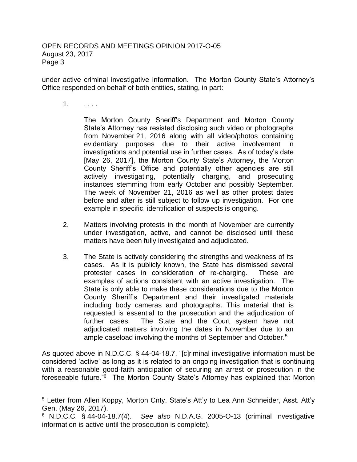under active criminal investigative information. The Morton County State's Attorney's Office responded on behalf of both entities, stating, in part:

1. . . . .

 $\overline{a}$ 

The Morton County Sheriff's Department and Morton County State's Attorney has resisted disclosing such video or photographs from November 21, 2016 along with all video/photos containing evidentiary purposes due to their active involvement in investigations and potential use in further cases. As of today's date [May 26, 2017], the Morton County State's Attorney, the Morton County Sheriff's Office and potentially other agencies are still actively investigating, potentially charging, and prosecuting instances stemming from early October and possibly September. The week of November 21, 2016 as well as other protest dates before and after is still subject to follow up investigation. For one example in specific, identification of suspects is ongoing.

- 2. Matters involving protests in the month of November are currently under investigation, active, and cannot be disclosed until these matters have been fully investigated and adjudicated.
- 3. The State is actively considering the strengths and weakness of its cases. As it is publicly known, the State has dismissed several protester cases in consideration of re-charging. These are examples of actions consistent with an active investigation. The State is only able to make these considerations due to the Morton County Sheriff's Department and their investigated materials including body cameras and photographs. This material that is requested is essential to the prosecution and the adjudication of further cases. The State and the Court system have not adjudicated matters involving the dates in November due to an ample caseload involving the months of September and October.<sup>5</sup>

As quoted above in N.D.C.C. § 44-04-18.7, "[c]riminal investigative information must be considered 'active' as long as it is related to an ongoing investigation that is continuing with a reasonable good-faith anticipation of securing an arrest or prosecution in the foreseeable future."<sup>6</sup> The Morton County State's Attorney has explained that Morton

<sup>5</sup> Letter from Allen Koppy, Morton Cnty. State's Att'y to Lea Ann Schneider, Asst. Att'y Gen. (May 26, 2017).

<sup>6</sup> N.D.C.C. § 44-04-18.7(4). *See also* N.D.A.G. 2005-O-13 (criminal investigative information is active until the prosecution is complete).